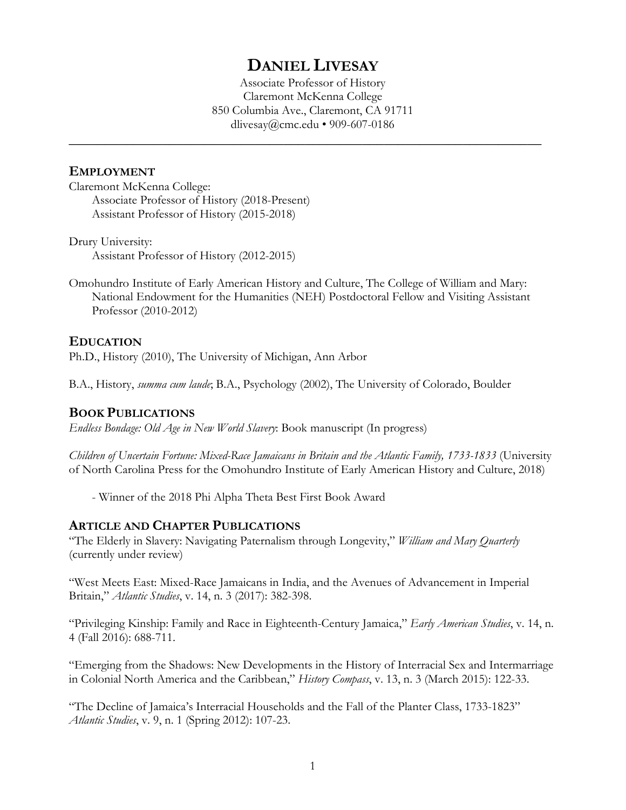# **DANIEL LIVESAY**

Associate Professor of History Claremont McKenna College 850 Columbia Ave., Claremont, CA 91711 dlivesay@cmc.edu • 909-607-0186

**\_\_\_\_\_\_\_\_\_\_\_\_\_\_\_\_\_\_\_\_\_\_\_\_\_\_\_\_\_\_\_\_\_\_\_\_\_\_\_\_\_\_\_\_\_\_\_\_\_\_\_\_\_\_\_\_\_\_\_\_\_\_\_\_\_\_**

#### **EMPLOYMENT**

Claremont McKenna College: Associate Professor of History (2018-Present) Assistant Professor of History (2015-2018)

Drury University: Assistant Professor of History (2012-2015)

Omohundro Institute of Early American History and Culture, The College of William and Mary: National Endowment for the Humanities (NEH) Postdoctoral Fellow and Visiting Assistant Professor (2010-2012)

#### **EDUCATION**

Ph.D., History (2010), The University of Michigan, Ann Arbor

B.A., History, *summa cum laude*; B.A., Psychology (2002), The University of Colorado, Boulder

#### **BOOK PUBLICATIONS**

*Endless Bondage: Old Age in New World Slavery*: Book manuscript (In progress)

*Children of Uncertain Fortune: Mixed-Race Jamaicans in Britain and the Atlantic Family, 1733-1833* (University of North Carolina Press for the Omohundro Institute of Early American History and Culture, 2018)

- Winner of the 2018 Phi Alpha Theta Best First Book Award

#### **ARTICLE AND CHAPTER PUBLICATIONS**

"The Elderly in Slavery: Navigating Paternalism through Longevity," *William and Mary Quarterly* (currently under review)

"West Meets East: Mixed-Race Jamaicans in India, and the Avenues of Advancement in Imperial Britain," *Atlantic Studies*, v. 14, n. 3 (2017): 382-398.

"Privileging Kinship: Family and Race in Eighteenth-Century Jamaica," *Early American Studies*, v. 14, n. 4 (Fall 2016): 688-711.

"Emerging from the Shadows: New Developments in the History of Interracial Sex and Intermarriage in Colonial North America and the Caribbean," *History Compass*, v. 13, n. 3 (March 2015): 122-33.

"The Decline of Jamaica's Interracial Households and the Fall of the Planter Class, 1733-1823" *Atlantic Studies*, v. 9, n. 1 (Spring 2012): 107-23.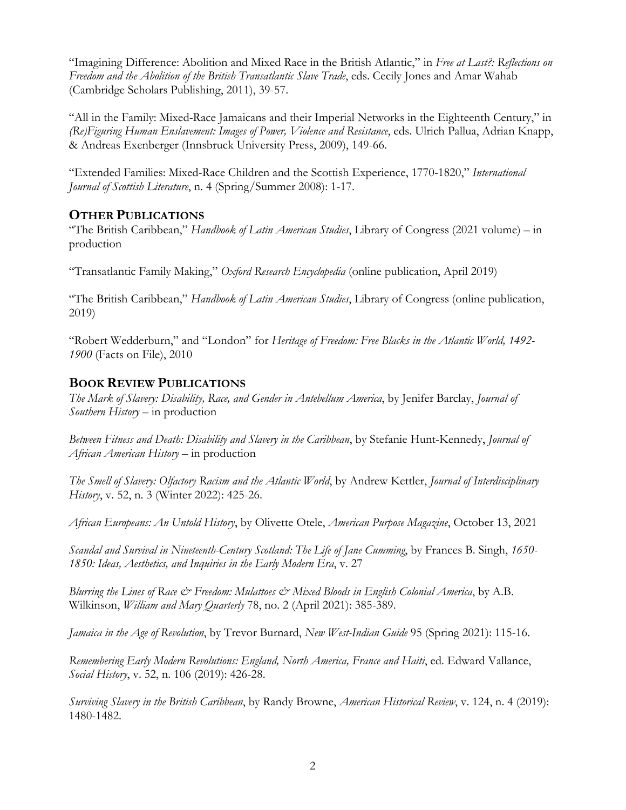"Imagining Difference: Abolition and Mixed Race in the British Atlantic," in *Free at Last?: Reflections on Freedom and the Abolition of the British Transatlantic Slave Trade*, eds. Cecily Jones and Amar Wahab (Cambridge Scholars Publishing, 2011), 39-57.

"All in the Family: Mixed-Race Jamaicans and their Imperial Networks in the Eighteenth Century," in *(Re)Figuring Human Enslavement: Images of Power, Violence and Resistance*, eds. Ulrich Pallua, Adrian Knapp, & Andreas Exenberger (Innsbruck University Press, 2009), 149-66.

"Extended Families: Mixed-Race Children and the Scottish Experience, 1770-1820," *International Journal of Scottish Literature*, n. 4 (Spring/Summer 2008): 1-17.

# **OTHER PUBLICATIONS**

"The British Caribbean," *Handbook of Latin American Studies*, Library of Congress (2021 volume) – in production

"Transatlantic Family Making," *Oxford Research Encyclopedia* (online publication, April 2019)

"The British Caribbean," *Handbook of Latin American Studies*, Library of Congress (online publication, 2019)

"Robert Wedderburn," and "London" for *Heritage of Freedom: Free Blacks in the Atlantic World, 1492- 1900* (Facts on File), 2010

# **BOOK REVIEW PUBLICATIONS**

*The Mark of Slavery: Disability, Race, and Gender in Antebellum America*, by Jenifer Barclay, *Journal of Southern History* – in production

*Between Fitness and Death: Disability and Slavery in the Caribbean*, by Stefanie Hunt-Kennedy, *Journal of African American History* – in production

*The Smell of Slavery: Olfactory Racism and the Atlantic World*, by Andrew Kettler, *Journal of Interdisciplinary History*, v. 52, n. 3 (Winter 2022): 425-26.

*African Europeans: An Untold History*, by Olivette Otele, *American Purpose Magazine*, October 13, 2021

*Scandal and Survival in Nineteenth-Century Scotland: The Life of Jane Cumming*, by Frances B. Singh, *1650- 1850: Ideas, Aesthetics, and Inquiries in the Early Modern Era*, v. 27

*Blurring the Lines of Race & Freedom: Mulattoes & Mixed Bloods in English Colonial America*, by A.B. Wilkinson, *William and Mary Quarterly* 78, no. 2 (April 2021): 385-389.

*Jamaica in the Age of Revolution*, by Trevor Burnard, *New West-Indian Guide* 95 (Spring 2021): 115-16.

*Remembering Early Modern Revolutions: England, North America, France and Haiti*, ed. Edward Vallance, *Social History*, v. 52, n. 106 (2019): 426-28.

*Surviving Slavery in the British Caribbean*, by Randy Browne, *American Historical Review*, v. 124, n. 4 (2019): 1480-1482.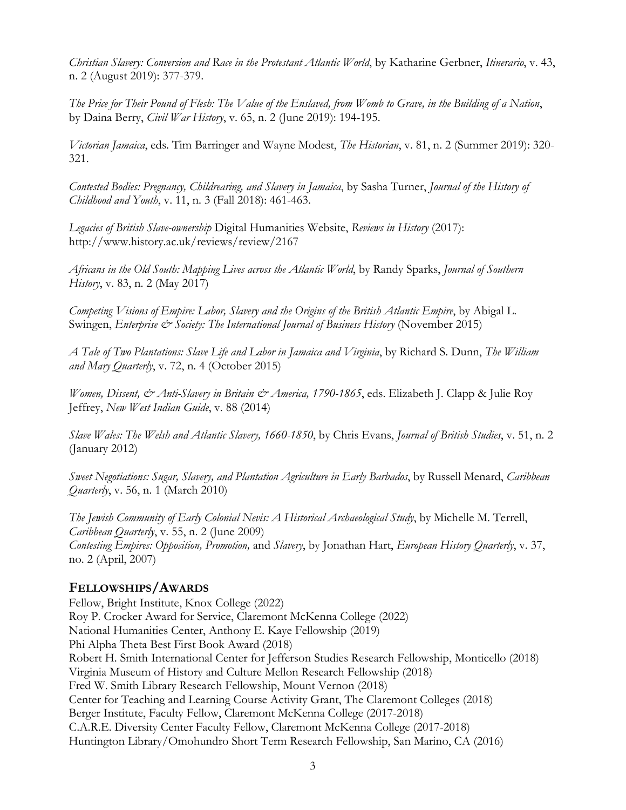*Christian Slavery: Conversion and Race in the Protestant Atlantic World*, by Katharine Gerbner, *Itinerario*, v. 43, n. 2 (August 2019): 377-379.

*The Price for Their Pound of Flesh: The Value of the Enslaved, from Womb to Grave, in the Building of a Nation*, by Daina Berry, *Civil War History*, v. 65, n. 2 (June 2019): 194-195.

*Victorian Jamaica*, eds. Tim Barringer and Wayne Modest, *The Historian*, v. 81, n. 2 (Summer 2019): 320- 321.

*Contested Bodies: Pregnancy, Childrearing, and Slavery in Jamaica*, by Sasha Turner, *Journal of the History of Childhood and Youth*, v. 11, n. 3 (Fall 2018): 461-463.

*Legacies of British Slave-ownership* Digital Humanities Website, *Reviews in History* (2017): http://www.history.ac.uk/reviews/review/2167

*Africans in the Old South: Mapping Lives across the Atlantic World*, by Randy Sparks, *Journal of Southern History*, v. 83, n. 2 (May 2017)

*Competing Visions of Empire: Labor, Slavery and the Origins of the British Atlantic Empire*, by Abigal L. Swingen, *Enterprise & Society: The International Journal of Business History* (November 2015)

*A Tale of Two Plantations: Slave Life and Labor in Jamaica and Virginia*, by Richard S. Dunn, *The William and Mary Quarterly*, v. 72, n. 4 (October 2015)

*Women, Dissent, & Anti-Slavery in Britain & America, 1790-1865*, eds. Elizabeth J. Clapp & Julie Roy Jeffrey, *New West Indian Guide*, v. 88 (2014)

*Slave Wales: The Welsh and Atlantic Slavery, 1660-1850*, by Chris Evans, *Journal of British Studies*, v. 51, n. 2 (January 2012)

*Sweet Negotiations: Sugar, Slavery, and Plantation Agriculture in Early Barbados*, by Russell Menard, *Caribbean Quarterly*, v. 56, n. 1 (March 2010)

*The Jewish Community of Early Colonial Nevis: A Historical Archaeological Study*, by Michelle M. Terrell, *Caribbean Quarterly*, v. 55, n. 2 (June 2009) *Contesting Empires: Opposition, Promotion,* and *Slavery*, by Jonathan Hart, *European History Quarterly*, v. 37, no. 2 (April, 2007)

## **FELLOWSHIPS/AWARDS**

Fellow, Bright Institute, Knox College (2022) Roy P. Crocker Award for Service, Claremont McKenna College (2022) National Humanities Center, Anthony E. Kaye Fellowship (2019) Phi Alpha Theta Best First Book Award (2018) Robert H. Smith International Center for Jefferson Studies Research Fellowship, Monticello (2018) Virginia Museum of History and Culture Mellon Research Fellowship (2018) Fred W. Smith Library Research Fellowship, Mount Vernon (2018) Center for Teaching and Learning Course Activity Grant, The Claremont Colleges (2018) Berger Institute, Faculty Fellow, Claremont McKenna College (2017-2018) C.A.R.E. Diversity Center Faculty Fellow, Claremont McKenna College (2017-2018) Huntington Library/Omohundro Short Term Research Fellowship, San Marino, CA (2016)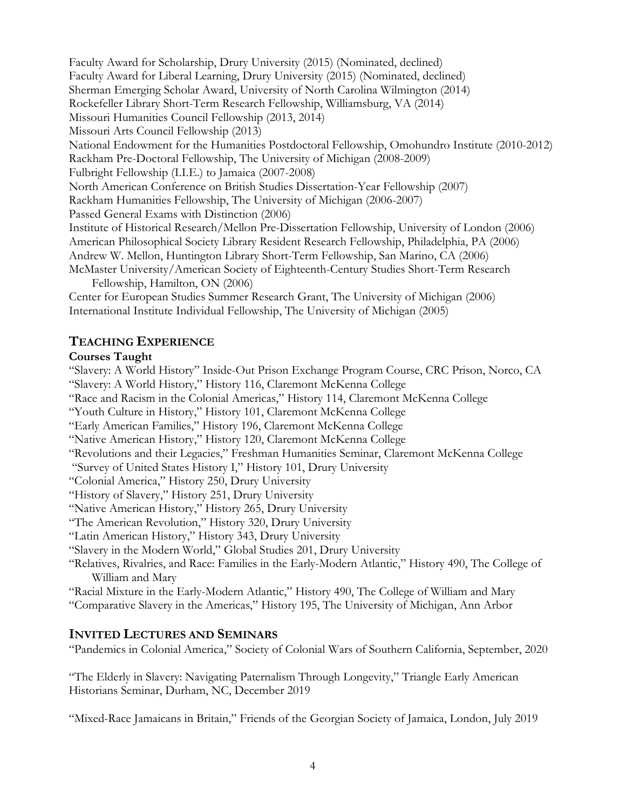Faculty Award for Scholarship, Drury University (2015) (Nominated, declined) Faculty Award for Liberal Learning, Drury University (2015) (Nominated, declined) Sherman Emerging Scholar Award, University of North Carolina Wilmington (2014) Rockefeller Library Short-Term Research Fellowship, Williamsburg, VA (2014) Missouri Humanities Council Fellowship (2013, 2014) Missouri Arts Council Fellowship (2013) National Endowment for the Humanities Postdoctoral Fellowship, Omohundro Institute (2010-2012) Rackham Pre-Doctoral Fellowship, The University of Michigan (2008-2009) Fulbright Fellowship (I.I.E.) to Jamaica (2007-2008) North American Conference on British Studies Dissertation-Year Fellowship (2007) Rackham Humanities Fellowship, The University of Michigan (2006-2007) Passed General Exams with Distinction (2006) Institute of Historical Research/Mellon Pre-Dissertation Fellowship, University of London (2006) American Philosophical Society Library Resident Research Fellowship, Philadelphia, PA (2006) Andrew W. Mellon, Huntington Library Short-Term Fellowship, San Marino, CA (2006) McMaster University/American Society of Eighteenth-Century Studies Short-Term Research Fellowship, Hamilton, ON (2006) Center for European Studies Summer Research Grant, The University of Michigan (2006)

International Institute Individual Fellowship, The University of Michigan (2005)

## **TEACHING EXPERIENCE**

## **Courses Taught**

"Slavery: A World History" Inside-Out Prison Exchange Program Course, CRC Prison, Norco, CA "Slavery: A World History," History 116, Claremont McKenna College "Race and Racism in the Colonial Americas," History 114, Claremont McKenna College "Youth Culture in History," History 101, Claremont McKenna College "Early American Families," History 196, Claremont McKenna College "Native American History," History 120, Claremont McKenna College "Revolutions and their Legacies," Freshman Humanities Seminar, Claremont McKenna College "Survey of United States History I," History 101, Drury University "Colonial America," History 250, Drury University "History of Slavery," History 251, Drury University "Native American History," History 265, Drury University "The American Revolution," History 320, Drury University "Latin American History," History 343, Drury University "Slavery in the Modern World," Global Studies 201, Drury University "Relatives, Rivalries, and Race: Families in the Early-Modern Atlantic," History 490, The College of William and Mary "Racial Mixture in the Early-Modern Atlantic," History 490, The College of William and Mary

"Comparative Slavery in the Americas," History 195, The University of Michigan, Ann Arbor

# **INVITED LECTURES AND SEMINARS**

"Pandemics in Colonial America," Society of Colonial Wars of Southern California, September, 2020

"The Elderly in Slavery: Navigating Paternalism Through Longevity," Triangle Early American Historians Seminar, Durham, NC, December 2019

"Mixed-Race Jamaicans in Britain," Friends of the Georgian Society of Jamaica, London, July 2019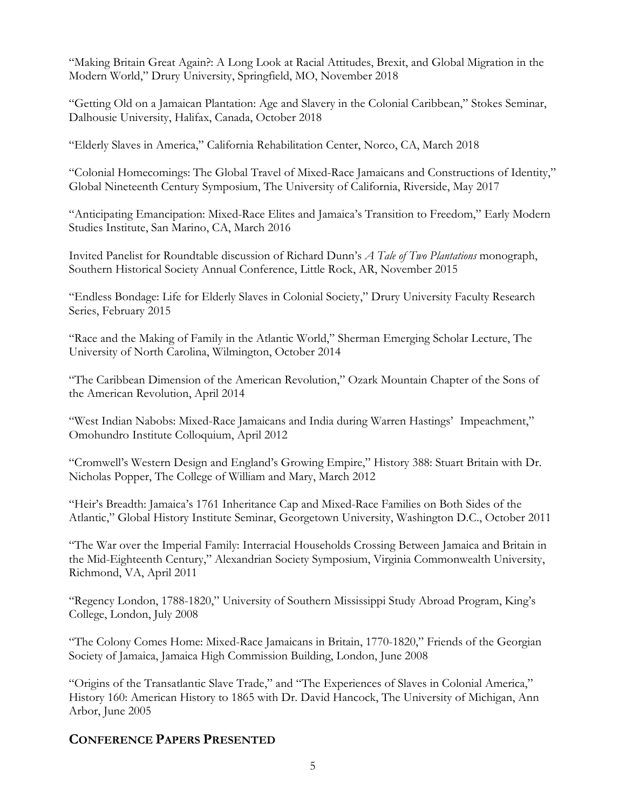"Making Britain Great Again?: A Long Look at Racial Attitudes, Brexit, and Global Migration in the Modern World," Drury University, Springfield, MO, November 2018

"Getting Old on a Jamaican Plantation: Age and Slavery in the Colonial Caribbean," Stokes Seminar, Dalhousie University, Halifax, Canada, October 2018

"Elderly Slaves in America," California Rehabilitation Center, Norco, CA, March 2018

"Colonial Homecomings: The Global Travel of Mixed-Race Jamaicans and Constructions of Identity," Global Nineteenth Century Symposium, The University of California, Riverside, May 2017

"Anticipating Emancipation: Mixed-Race Elites and Jamaica's Transition to Freedom," Early Modern Studies Institute, San Marino, CA, March 2016

Invited Panelist for Roundtable discussion of Richard Dunn's *A Tale of Two Plantations* monograph, Southern Historical Society Annual Conference, Little Rock, AR, November 2015

"Endless Bondage: Life for Elderly Slaves in Colonial Society," Drury University Faculty Research Series, February 2015

"Race and the Making of Family in the Atlantic World," Sherman Emerging Scholar Lecture, The University of North Carolina, Wilmington, October 2014

"The Caribbean Dimension of the American Revolution," Ozark Mountain Chapter of the Sons of the American Revolution, April 2014

"West Indian Nabobs: Mixed-Race Jamaicans and India during Warren Hastings' Impeachment," Omohundro Institute Colloquium, April 2012

"Cromwell's Western Design and England's Growing Empire," History 388: Stuart Britain with Dr. Nicholas Popper, The College of William and Mary, March 2012

"Heir's Breadth: Jamaica's 1761 Inheritance Cap and Mixed-Race Families on Both Sides of the Atlantic," Global History Institute Seminar, Georgetown University, Washington D.C., October 2011

"The War over the Imperial Family: Interracial Households Crossing Between Jamaica and Britain in the Mid-Eighteenth Century," Alexandrian Society Symposium, Virginia Commonwealth University, Richmond, VA, April 2011

"Regency London, 1788-1820," University of Southern Mississippi Study Abroad Program, King's College, London, July 2008

"The Colony Comes Home: Mixed-Race Jamaicans in Britain, 1770-1820," Friends of the Georgian Society of Jamaica, Jamaica High Commission Building, London, June 2008

"Origins of the Transatlantic Slave Trade," and "The Experiences of Slaves in Colonial America," History 160: American History to 1865 with Dr. David Hancock, The University of Michigan, Ann Arbor, June 2005

# **CONFERENCE PAPERS PRESENTED**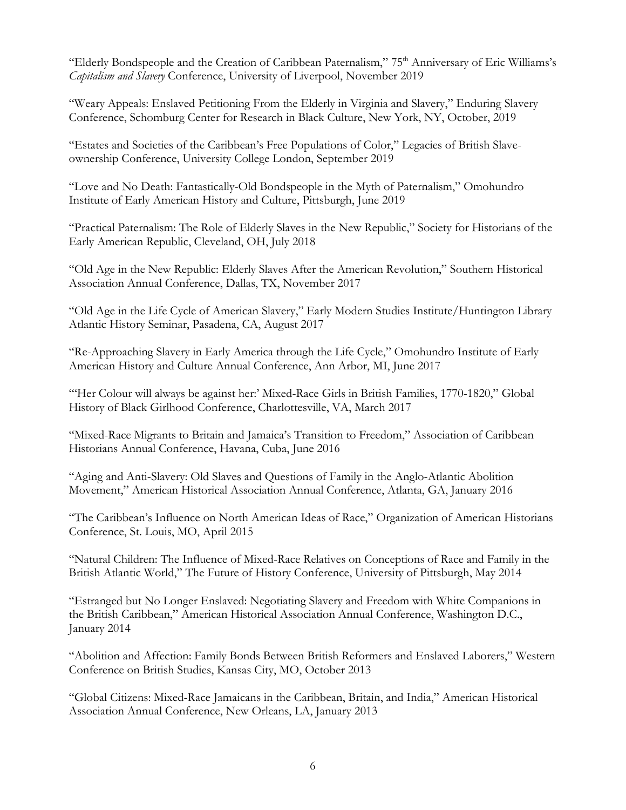"Elderly Bondspeople and the Creation of Caribbean Paternalism," 75<sup>th</sup> Anniversary of Eric Williams's *Capitalism and Slavery* Conference, University of Liverpool, November 2019

"Weary Appeals: Enslaved Petitioning From the Elderly in Virginia and Slavery," Enduring Slavery Conference, Schomburg Center for Research in Black Culture, New York, NY, October, 2019

"Estates and Societies of the Caribbean's Free Populations of Color," Legacies of British Slaveownership Conference, University College London, September 2019

"Love and No Death: Fantastically-Old Bondspeople in the Myth of Paternalism," Omohundro Institute of Early American History and Culture, Pittsburgh, June 2019

"Practical Paternalism: The Role of Elderly Slaves in the New Republic," Society for Historians of the Early American Republic, Cleveland, OH, July 2018

"Old Age in the New Republic: Elderly Slaves After the American Revolution," Southern Historical Association Annual Conference, Dallas, TX, November 2017

"Old Age in the Life Cycle of American Slavery," Early Modern Studies Institute/Huntington Library Atlantic History Seminar, Pasadena, CA, August 2017

"Re-Approaching Slavery in Early America through the Life Cycle," Omohundro Institute of Early American History and Culture Annual Conference, Ann Arbor, MI, June 2017

"Her Colour will always be against her:' Mixed-Race Girls in British Families, 1770-1820," Global History of Black Girlhood Conference, Charlottesville, VA, March 2017

"Mixed-Race Migrants to Britain and Jamaica's Transition to Freedom," Association of Caribbean Historians Annual Conference, Havana, Cuba, June 2016

"Aging and Anti-Slavery: Old Slaves and Questions of Family in the Anglo-Atlantic Abolition Movement," American Historical Association Annual Conference, Atlanta, GA, January 2016

"The Caribbean's Influence on North American Ideas of Race," Organization of American Historians Conference, St. Louis, MO, April 2015

"Natural Children: The Influence of Mixed-Race Relatives on Conceptions of Race and Family in the British Atlantic World," The Future of History Conference, University of Pittsburgh, May 2014

"Estranged but No Longer Enslaved: Negotiating Slavery and Freedom with White Companions in the British Caribbean," American Historical Association Annual Conference, Washington D.C., January 2014

"Abolition and Affection: Family Bonds Between British Reformers and Enslaved Laborers," Western Conference on British Studies, Kansas City, MO, October 2013

"Global Citizens: Mixed-Race Jamaicans in the Caribbean, Britain, and India," American Historical Association Annual Conference, New Orleans, LA, January 2013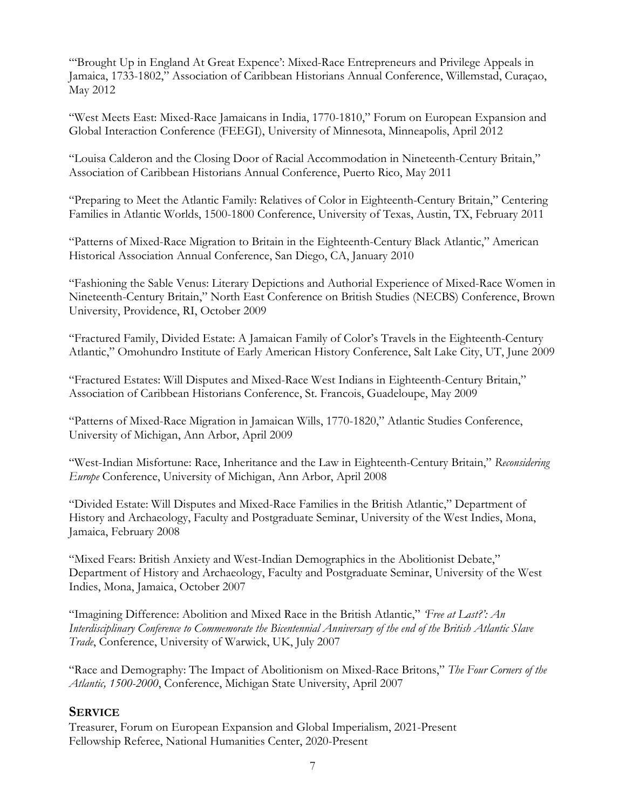"'Brought Up in England At Great Expence': Mixed-Race Entrepreneurs and Privilege Appeals in Jamaica, 1733-1802," Association of Caribbean Historians Annual Conference, Willemstad, Curaçao, May 2012

"West Meets East: Mixed-Race Jamaicans in India, 1770-1810," Forum on European Expansion and Global Interaction Conference (FEEGI), University of Minnesota, Minneapolis, April 2012

"Louisa Calderon and the Closing Door of Racial Accommodation in Nineteenth-Century Britain," Association of Caribbean Historians Annual Conference, Puerto Rico, May 2011

"Preparing to Meet the Atlantic Family: Relatives of Color in Eighteenth-Century Britain," Centering Families in Atlantic Worlds, 1500-1800 Conference, University of Texas, Austin, TX, February 2011

"Patterns of Mixed-Race Migration to Britain in the Eighteenth-Century Black Atlantic," American Historical Association Annual Conference, San Diego, CA, January 2010

"Fashioning the Sable Venus: Literary Depictions and Authorial Experience of Mixed-Race Women in Nineteenth-Century Britain," North East Conference on British Studies (NECBS) Conference, Brown University, Providence, RI, October 2009

"Fractured Family, Divided Estate: A Jamaican Family of Color's Travels in the Eighteenth-Century Atlantic," Omohundro Institute of Early American History Conference, Salt Lake City, UT, June 2009

"Fractured Estates: Will Disputes and Mixed-Race West Indians in Eighteenth-Century Britain," Association of Caribbean Historians Conference, St. Francois, Guadeloupe, May 2009

"Patterns of Mixed-Race Migration in Jamaican Wills, 1770-1820," Atlantic Studies Conference, University of Michigan, Ann Arbor, April 2009

"West-Indian Misfortune: Race, Inheritance and the Law in Eighteenth-Century Britain," *Reconsidering Europe* Conference, University of Michigan, Ann Arbor, April 2008

"Divided Estate: Will Disputes and Mixed-Race Families in the British Atlantic," Department of History and Archaeology, Faculty and Postgraduate Seminar, University of the West Indies, Mona, Jamaica, February 2008

"Mixed Fears: British Anxiety and West-Indian Demographics in the Abolitionist Debate," Department of History and Archaeology, Faculty and Postgraduate Seminar, University of the West Indies, Mona, Jamaica, October 2007

"Imagining Difference: Abolition and Mixed Race in the British Atlantic," *'Free at Last?': An Interdisciplinary Conference to Commemorate the Bicentennial Anniversary of the end of the British Atlantic Slave Trade*, Conference, University of Warwick, UK, July 2007

"Race and Demography: The Impact of Abolitionism on Mixed-Race Britons," *The Four Corners of the Atlantic, 1500-2000*, Conference, Michigan State University, April 2007

## **SERVICE**

Treasurer, Forum on European Expansion and Global Imperialism, 2021-Present Fellowship Referee, National Humanities Center, 2020-Present